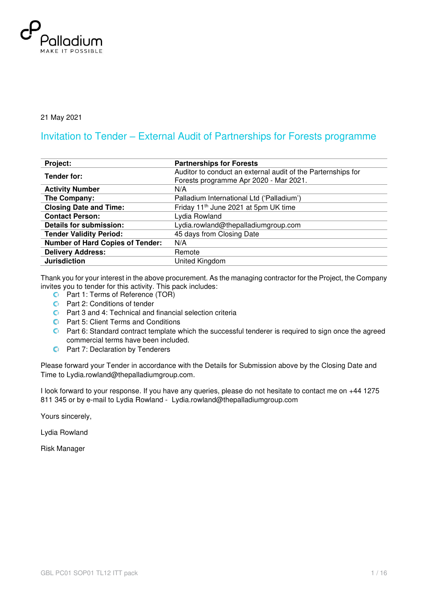

21 May 2021

### Invitation to Tender – External Audit of Partnerships for Forests programme

| Project:                                | <b>Partnerships for Forests</b>                              |
|-----------------------------------------|--------------------------------------------------------------|
| Tender for:                             | Auditor to conduct an external audit of the Parternships for |
|                                         | Forests programme Apr 2020 - Mar 2021.                       |
| <b>Activity Number</b>                  | N/A                                                          |
| The Company:                            | Palladium International Ltd ('Palladium')                    |
| <b>Closing Date and Time:</b>           | Friday 11 <sup>th</sup> June 2021 at 5pm UK time             |
| <b>Contact Person:</b>                  | Lydia Rowland                                                |
| <b>Details for submission:</b>          | Lydia.rowland@thepalladiumgroup.com                          |
| <b>Tender Validity Period:</b>          | 45 days from Closing Date                                    |
| <b>Number of Hard Copies of Tender:</b> | N/A                                                          |
| <b>Delivery Address:</b>                | Remote                                                       |
| <b>Jurisdiction</b>                     | United Kingdom                                               |

Thank you for your interest in the above procurement. As the managing contractor for the Project, the Company invites you to tender for this activity. This pack includes:

- **C** Part 1: Terms of Reference (TOR)
- **C** Part 2: Conditions of tender
- Part 3 and 4: Technical and financial selection criteria
- **C** Part 5: Client Terms and Conditions
- **C** Part 6: Standard contract template which the successful tenderer is required to sign once the agreed commercial terms have been included.
- **C** Part 7: Declaration by Tenderers

Please forward your Tender in accordance with the Details for Submission above by the Closing Date and Time to Lydia.rowland@thepalladiumgroup.com.

I look forward to your response. If you have any queries, please do not hesitate to contact me on +44 1275 811 345 or by e-mail to Lydia Rowland - Lydia.rowland@thepalladiumgroup.com

Yours sincerely,

Lydia Rowland

Risk Manager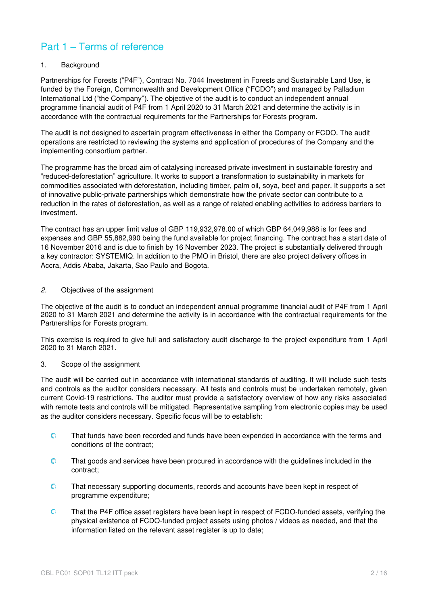## Part 1 – Terms of reference

#### 1. Background

Partnerships for Forests ("P4F"), Contract No. 7044 Investment in Forests and Sustainable Land Use, is funded by the Foreign, Commonwealth and Development Office ("FCDO") and managed by Palladium International Ltd ("the Company"). The objective of the audit is to conduct an independent annual programme financial audit of P4F from 1 April 2020 to 31 March 2021 and determine the activity is in accordance with the contractual requirements for the Partnerships for Forests program.

The audit is not designed to ascertain program effectiveness in either the Company or FCDO. The audit operations are restricted to reviewing the systems and application of procedures of the Company and the implementing consortium partner.

The programme has the broad aim of catalysing increased private investment in sustainable forestry and "reduced-deforestation" agriculture. It works to support a transformation to sustainability in markets for commodities associated with deforestation, including timber, palm oil, soya, beef and paper. It supports a set of innovative public-private partnerships which demonstrate how the private sector can contribute to a reduction in the rates of deforestation, as well as a range of related enabling activities to address barriers to investment.

The contract has an upper limit value of GBP 119,932,978.00 of which GBP 64,049,988 is for fees and expenses and GBP 55,882,990 being the fund available for project financing. The contract has a start date of 16 November 2016 and is due to finish by 16 November 2023. The project is substantially delivered through a key contractor: SYSTEMIQ. In addition to the PMO in Bristol, there are also project delivery offices in Accra, Addis Ababa, Jakarta, Sao Paulo and Bogota.

#### 2. Objectives of the assignment

The objective of the audit is to conduct an independent annual programme financial audit of P4F from 1 April 2020 to 31 March 2021 and determine the activity is in accordance with the contractual requirements for the Partnerships for Forests program.

This exercise is required to give full and satisfactory audit discharge to the project expenditure from 1 April 2020 to 31 March 2021.

#### 3. Scope of the assignment

The audit will be carried out in accordance with international standards of auditing. It will include such tests and controls as the auditor considers necessary. All tests and controls must be undertaken remotely, given current Covid-19 restrictions. The auditor must provide a satisfactory overview of how any risks associated with remote tests and controls will be mitigated. Representative sampling from electronic copies may be used as the auditor considers necessary. Specific focus will be to establish:

- $\mathbf{C}$ That funds have been recorded and funds have been expended in accordance with the terms and conditions of the contract;
- That goods and services have been procured in accordance with the guidelines included in the  $\mathbf{C}$ contract;
- $\mathbf{C}$ That necessary supporting documents, records and accounts have been kept in respect of programme expenditure;
- $\mathbf{C}$ That the P4F office asset registers have been kept in respect of FCDO-funded assets, verifying the physical existence of FCDO-funded project assets using photos / videos as needed, and that the information listed on the relevant asset register is up to date;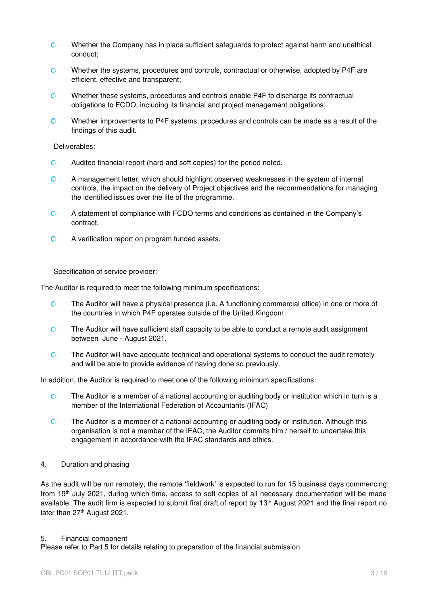- Whether the Company has in place sufficient safeguards to protect against harm and unethical  $\mathbf{C}$ conduct;
- C) Whether the systems, procedures and controls, contractual or otherwise, adopted by P4F are efficient, effective and transparent;
- Whether these systems, procedures and controls enable P4F to discharge its contractual C) obligations to FCDO, including its financial and project management obligations;
- $\mathsf{C}^{\mathsf{I}}$ Whether improvements to P4F systems, procedures and controls can be made as a result of the findings of this audit.

Deliverables:

- $\mathbf{C}$ Audited financial report (hard and soft copies) for the period noted.
- $\mathbf{C}$ A management letter, which should highlight observed weaknesses in the system of internal controls, the impact on the delivery of Project objectives and the recommendations for managing the identified issues over the life of the programme.
- $\mathbf{C}^{\dagger}$ A statement of compliance with FCDO terms and conditions as contained in the Company's contract.
- $\mathbf{C}$ A verification report on program funded assets.

Specification of service provider:

The Auditor is required to meet the following minimum specifications:

- C) The Auditor will have a physical presence (i.e. A functioning commercial office) in one or more of the countries in which P4F operates outside of the United Kingdom
- $\mathbf{C}$ The Auditor will have sufficient staff capacity to be able to conduct a remote audit assignment between June - August 2021.
- $\mathsf{C}^{\mathsf{r}}$ The Auditor will have adequate technical and operational systems to conduct the audit remotely and will be able to provide evidence of having done so previously.

In addition, the Auditor is required to meet one of the following minimum specifications:

- $\mathsf{C}^{\mathsf{r}}$ The Auditor is a member of a national accounting or auditing body or institution which in turn is a member of the International Federation of Accountants (IFAC)
- The Auditor is a member of a national accounting or auditing body or institution. Although this  $\mathbf{C}$ organisation is not a member of the IFAC, the Auditor commits him / herself to undertake this engagement in accordance with the IFAC standards and ethics.
- 4. Duration and phasing

As the audit will be run remotely, the remote 'fieldwork' is expected to run for 15 business days commencing from 19th July 2021, during which time, access to soft copies of all necessary documentation will be made available. The audit firm is expected to submit first draft of report by 13<sup>th</sup> August 2021 and the final report no later than 27<sup>th</sup> August 2021.

#### 5. Financial component

Please refer to Part 5 for details relating to preparation of the financial submission.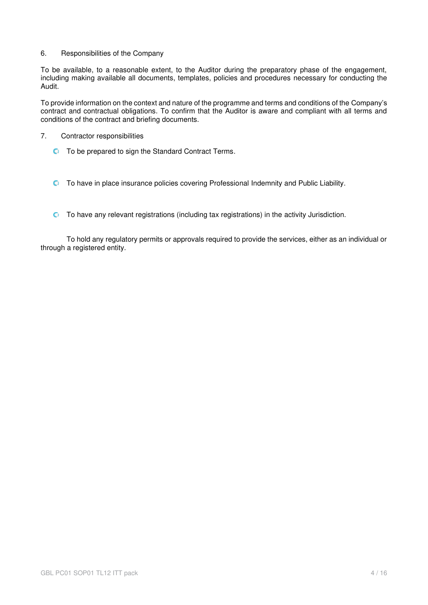6. Responsibilities of the Company

To be available, to a reasonable extent, to the Auditor during the preparatory phase of the engagement, including making available all documents, templates, policies and procedures necessary for conducting the Audit.

To provide information on the context and nature of the programme and terms and conditions of the Company's contract and contractual obligations. To confirm that the Auditor is aware and compliant with all terms and conditions of the contract and briefing documents.

- 7. Contractor responsibilities
	- **C** To be prepared to sign the Standard Contract Terms.
	- To have in place insurance policies covering Professional Indemnity and Public Liability.
	- $\bullet$  To have any relevant registrations (including tax registrations) in the activity Jurisdiction.

To hold any regulatory permits or approvals required to provide the services, either as an individual or through a registered entity.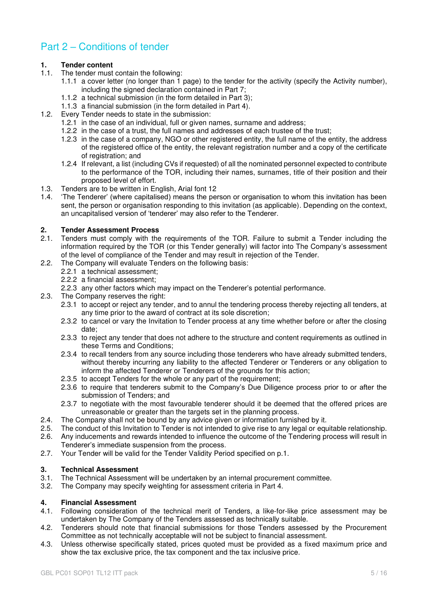## Part 2 – Conditions of tender

# **1. 1.** Tender content **1.1.** The tender must

- The tender must contain the following:
	- 1.1.1 a cover letter (no longer than 1 page) to the tender for the activity (specify the Activity number), including the signed declaration contained in Part 7;
		- 1.1.2 a technical submission (in the form detailed in Part 3);
		- 1.1.3 a financial submission (in the form detailed in Part 4).
- 1.2. Every Tender needs to state in the submission:
	- 1.2.1 in the case of an individual, full or given names, surname and address;
	- 1.2.2 in the case of a trust, the full names and addresses of each trustee of the trust;
	- 1.2.3 in the case of a company, NGO or other registered entity, the full name of the entity, the address of the registered office of the entity, the relevant registration number and a copy of the certificate of registration; and
	- 1.2.4 If relevant, a list (including CVs if requested) of all the nominated personnel expected to contribute to the performance of the TOR, including their names, surnames, title of their position and their proposed level of effort.
- 1.3. Tenders are to be written in English, Arial font 12<br>1.4. The Tenderer' (where capitalised) means the per-
- 'The Tenderer' (where capitalised) means the person or organisation to whom this invitation has been sent, the person or organisation responding to this invitation (as applicable). Depending on the context, an uncapitalised version of 'tenderer' may also refer to the Tenderer.

#### **2. Tender Assessment Process**

- 2.1. Tenders must comply with the requirements of the TOR. Failure to submit a Tender including the information required by the TOR (or this Tender generally) will factor into The Company's assessment of the level of compliance of the Tender and may result in rejection of the Tender.
- 2.2. The Company will evaluate Tenders on the following basis:
	- 2.2.1 a technical assessment;
		- 2.2.2 a financial assessment;
	- 2.2.3 any other factors which may impact on the Tenderer's potential performance.
- 2.3. The Company reserves the right:
	- 2.3.1 to accept or reject any tender, and to annul the tendering process thereby rejecting all tenders, at any time prior to the award of contract at its sole discretion;
	- 2.3.2 to cancel or vary the Invitation to Tender process at any time whether before or after the closing date;
	- 2.3.3 to reject any tender that does not adhere to the structure and content requirements as outlined in these Terms and Conditions;
	- 2.3.4 to recall tenders from any source including those tenderers who have already submitted tenders, without thereby incurring any liability to the affected Tenderer or Tenderers or any obligation to inform the affected Tenderer or Tenderers of the grounds for this action;
	- 2.3.5 to accept Tenders for the whole or any part of the requirement;
	- 2.3.6 to require that tenderers submit to the Company's Due Diligence process prior to or after the submission of Tenders; and
	- 2.3.7 to negotiate with the most favourable tenderer should it be deemed that the offered prices are unreasonable or greater than the targets set in the planning process.
- 2.4. The Company shall not be bound by any advice given or information furnished by it.<br>2.5. The conduct of this Invitation to Tender is not intended to give rise to any legal or equ
- The conduct of this Invitation to Tender is not intended to give rise to any legal or equitable relationship.
- 2.6. Any inducements and rewards intended to influence the outcome of the Tendering process will result in Tenderer's immediate suspension from the process.
- 2.7. Your Tender will be valid for the Tender Validity Period specified on p.1.

### **3. Technical Assessment**

- 3.1. The Technical Assessment will be undertaken by an internal procurement committee.<br>3.2. The Company may specify weighting for assessment criteria in Part 4.
- The Company may specify weighting for assessment criteria in Part 4.

### **4. Financial Assessment**

- 4.1. Following consideration of the technical merit of Tenders, a like-for-like price assessment may be undertaken by The Company of the Tenders assessed as technically suitable.
- 4.2. Tenderers should note that financial submissions for those Tenders assessed by the Procurement Committee as not technically acceptable will not be subject to financial assessment.
- 4.3. Unless otherwise specifically stated, prices quoted must be provided as a fixed maximum price and show the tax exclusive price, the tax component and the tax inclusive price.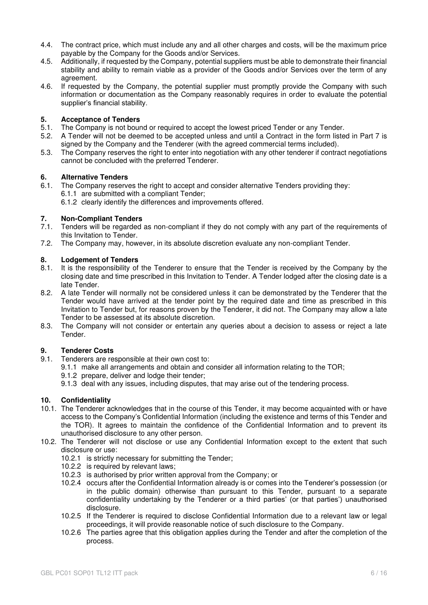- 4.4. The contract price, which must include any and all other charges and costs, will be the maximum price payable by the Company for the Goods and/or Services.
- 4.5. Additionally, if requested by the Company, potential suppliers must be able to demonstrate their financial stability and ability to remain viable as a provider of the Goods and/or Services over the term of any agreement.
- 4.6. If requested by the Company, the potential supplier must promptly provide the Company with such information or documentation as the Company reasonably requires in order to evaluate the potential supplier's financial stability.

#### **5. Acceptance of Tenders**

- 5.1. The Company is not bound or required to accept the lowest priced Tender or any Tender.
- 5.2. A Tender will not be deemed to be accepted unless and until a Contract in the form listed in Part 7 is signed by the Company and the Tenderer (with the agreed commercial terms included).
- 5.3. The Company reserves the right to enter into negotiation with any other tenderer if contract negotiations cannot be concluded with the preferred Tenderer.

# **6.** Alternative Tenders<br>**6.1.** The Company reserve

The Company reserves the right to accept and consider alternative Tenders providing they: 6.1.1 are submitted with a compliant Tender;

6.1.2 clearly identify the differences and improvements offered.

# **7. Non-Compliant Tenders**<br>**7.1.** Tenders will be regarded

- Tenders will be regarded as non-compliant if they do not comply with any part of the requirements of this Invitation to Tender.
- 7.2. The Company may, however, in its absolute discretion evaluate any non-compliant Tender.

# **8. Lodgement of Tenders**<br>**8.1.** It is the responsibility of

- It is the responsibility of the Tenderer to ensure that the Tender is received by the Company by the closing date and time prescribed in this Invitation to Tender. A Tender lodged after the closing date is a late Tender.
- 8.2. A late Tender will normally not be considered unless it can be demonstrated by the Tenderer that the Tender would have arrived at the tender point by the required date and time as prescribed in this Invitation to Tender but, for reasons proven by the Tenderer, it did not. The Company may allow a late Tender to be assessed at its absolute discretion.
- 8.3. The Company will not consider or entertain any queries about a decision to assess or reject a late Tender.

# **9.1. Tenderer Costs**<br>**9.1. Tenderers are re**

- Tenderers are responsible at their own cost to:
	- 9.1.1 make all arrangements and obtain and consider all information relating to the TOR;
	- 9.1.2 prepare, deliver and lodge their tender;
	- 9.1.3 deal with any issues, including disputes, that may arise out of the tendering process.

#### **10. Confidentiality**

- 10.1. The Tenderer acknowledges that in the course of this Tender, it may become acquainted with or have access to the Company's Confidential Information (including the existence and terms of this Tender and the TOR). It agrees to maintain the confidence of the Confidential Information and to prevent its unauthorised disclosure to any other person.
- 10.2. The Tenderer will not disclose or use any Confidential Information except to the extent that such disclosure or use:
	- 10.2.1 is strictly necessary for submitting the Tender;
	- 10.2.2 is required by relevant laws;
	- 10.2.3 is authorised by prior written approval from the Company; or
	- 10.2.4 occurs after the Confidential Information already is or comes into the Tenderer's possession (or in the public domain) otherwise than pursuant to this Tender, pursuant to a separate confidentiality undertaking by the Tenderer or a third parties' (or that parties') unauthorised disclosure.
	- 10.2.5 If the Tenderer is required to disclose Confidential Information due to a relevant law or legal proceedings, it will provide reasonable notice of such disclosure to the Company.
	- 10.2.6 The parties agree that this obligation applies during the Tender and after the completion of the process.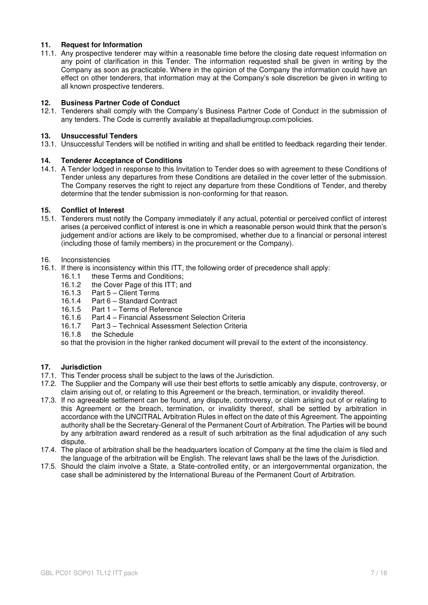#### **11. Request for Information**

11.1. Any prospective tenderer may within a reasonable time before the closing date request information on any point of clarification in this Tender. The information requested shall be given in writing by the Company as soon as practicable. Where in the opinion of the Company the information could have an effect on other tenderers, that information may at the Company's sole discretion be given in writing to all known prospective tenderers.

#### **12. Business Partner Code of Conduct**

12.1. Tenderers shall comply with the Company's Business Partner Code of Conduct in the submission of any tenders. The Code is currently available at thepalladiumgroup.com/policies.

#### **13. Unsuccessful Tenders**

13.1. Unsuccessful Tenders will be notified in writing and shall be entitled to feedback regarding their tender.

#### **14. Tenderer Acceptance of Conditions**

14.1. A Tender lodged in response to this Invitation to Tender does so with agreement to these Conditions of Tender unless any departures from these Conditions are detailed in the cover letter of the submission. The Company reserves the right to reject any departure from these Conditions of Tender, and thereby determine that the tender submission is non-conforming for that reason.

#### **15. Conflict of Interest**

15.1. Tenderers must notify the Company immediately if any actual, potential or perceived conflict of interest arises (a perceived conflict of interest is one in which a reasonable person would think that the person's judgement and/or actions are likely to be compromised, whether due to a financial or personal interest (including those of family members) in the procurement or the Company).

#### 16. Inconsistencies

- 16.1. If there is inconsistency within this ITT, the following order of precedence shall apply:
	- 16.1.1 these Terms and Conditions;
	- 16.1.2 the Cover Page of this ITT; and<br>16.1.3 Part 5 Client Terms
	- Part 5 Client Terms
	- 16.1.4 Part 6 Standard Contract
	- 16.1.5 Part 1 Terms of Reference<br>16.1.6 Part 4 Financial Assessmer
	- 16.1.6 Part 4 Financial Assessment Selection Criteria<br>16.1.7 Part 3 Technical Assessment Selection Criteria
	- Part 3 Technical Assessment Selection Criteria
	- 16.1.8 the Schedule

so that the provision in the higher ranked document will prevail to the extent of the inconsistency.

#### **17. Jurisdiction**

- 17.1. This Tender process shall be subject to the laws of the Jurisdiction.
- 17.2. The Supplier and the Company will use their best efforts to settle amicably any dispute, controversy, or claim arising out of, or relating to this Agreement or the breach, termination, or invalidity thereof.
- 17.3. If no agreeable settlement can be found, any dispute, controversy, or claim arising out of or relating to this Agreement or the breach, termination, or invalidity thereof, shall be settled by arbitration in accordance with the UNCITRAL Arbitration Rules in effect on the date of this Agreement. The appointing authority shall be the Secretary-General of the Permanent Court of Arbitration. The Parties will be bound by any arbitration award rendered as a result of such arbitration as the final adjudication of any such dispute.
- 17.4. The place of arbitration shall be the headquarters location of Company at the time the claim is filed and the language of the arbitration will be English. The relevant laws shall be the laws of the Jurisdiction.
- 17.5. Should the claim involve a State, a State-controlled entity, or an intergovernmental organization, the case shall be administered by the International Bureau of the Permanent Court of Arbitration.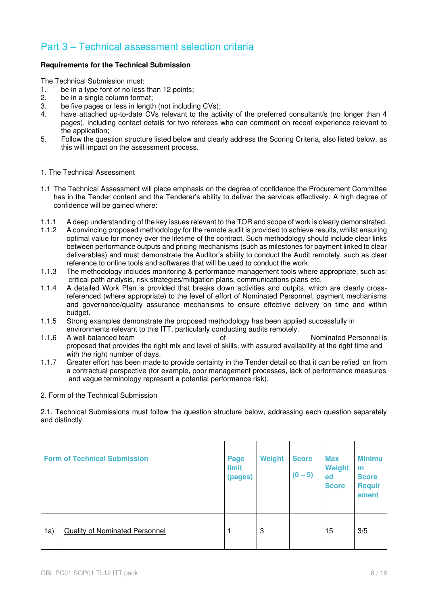## Part 3 – Technical assessment selection criteria

#### **Requirements for the Technical Submission**

The Technical Submission must:

- 1. be in a type font of no less than 12 points;<br>2. be in a single column format:
- be in a single column format;
- 3. be five pages or less in length (not including CVs);
- 4. have attached up-to-date CVs relevant to the activity of the preferred consultant/s (no longer than 4 pages), including contact details for two referees who can comment on recent experience relevant to the application;
- 5. Follow the question structure listed below and clearly address the Scoring Criteria, also listed below, as this will impact on the assessment process.
- 1. The Technical Assessment
- 1.1 The Technical Assessment will place emphasis on the degree of confidence the Procurement Committee has in the Tender content and the Tenderer's ability to deliver the services effectively. A high degree of confidence will be gained where:
- 1.1.1 A deep understanding of the key issues relevant to the TOR and scope of work is clearly demonstrated.
- 1.1.2 A convincing proposed methodology for the remote audit is provided to achieve results, whilst ensuring optimal value for money over the lifetime of the contract. Such methodology should include clear links between performance outputs and pricing mechanisms (such as milestones for payment linked to clear deliverables) and must demonstrate the Auditor's ability to conduct the Audit remotely, such as clear reference to online tools and softwares that will be used to conduct the work.
- 1.1.3 The methodology includes monitoring & performance management tools where appropriate, such as: critical path analysis, risk strategies/mitigation plans, communications plans etc.
- 1.1.4 A detailed Work Plan is provided that breaks down activities and outpits, which are clearly crossreferenced (where appropriate) to the level of effort of Nominated Personnel, payment mechanisms and governance/quality assurance mechanisms to ensure effective delivery on time and within budget.
- 1.1.5 Strong examples demonstrate the proposed methodology has been applied successfully in environments relevant to this ITT, particularly conducting audits remotely.
- 1.1.6 A well balanced team of the of  $\blacksquare$  Nominated Personnel is proposed that provides the right mix and level of skills, with assured availability at the right time and with the right number of days.
- 1.1.7 Greater effort has been made to provide certainty in the Tender detail so that it can be relied on from a contractual perspective (for example, poor management processes, lack of performance measures and vague terminology represent a potential performance risk).
- 2. Form of the Technical Submission

2.1. Technical Submissions must follow the question structure below, addressing each question separately and distinctly.

|     | <b>Form of Technical Submission</b>   | Page<br>limit<br>(pages) | Weight | <b>Score</b><br>$(0 - 5)$ | <b>Max</b><br>Weight<br>ed<br><b>Score</b> | <b>Minimu</b><br>m<br><b>Score</b><br><b>Requir</b><br>ement |
|-----|---------------------------------------|--------------------------|--------|---------------------------|--------------------------------------------|--------------------------------------------------------------|
| 1a) | <b>Quality of Nominated Personnel</b> |                          | 3      |                           | 15                                         | 3/5                                                          |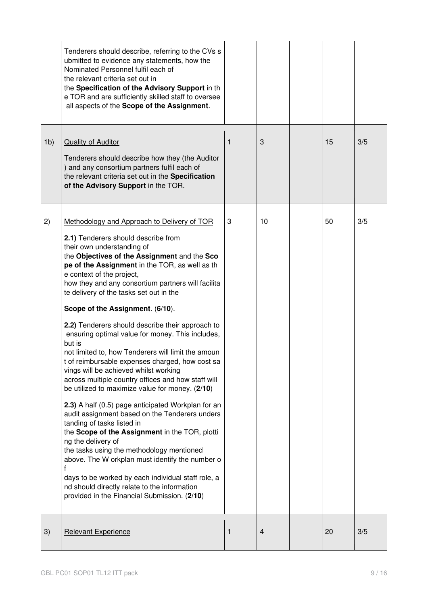|                | Tenderers should describe, referring to the CVs s<br>ubmitted to evidence any statements, how the<br>Nominated Personnel fulfil each of<br>the relevant criteria set out in<br>the Specification of the Advisory Support in th<br>e TOR and are sufficiently skilled staff to oversee<br>all aspects of the Scope of the Assignment.                                                                                                                                                                                                                                                                                                                                                                                                                                                                                                                                                                                                                                                                                                                                                                                                                                                                                                       |              |                |    |     |
|----------------|--------------------------------------------------------------------------------------------------------------------------------------------------------------------------------------------------------------------------------------------------------------------------------------------------------------------------------------------------------------------------------------------------------------------------------------------------------------------------------------------------------------------------------------------------------------------------------------------------------------------------------------------------------------------------------------------------------------------------------------------------------------------------------------------------------------------------------------------------------------------------------------------------------------------------------------------------------------------------------------------------------------------------------------------------------------------------------------------------------------------------------------------------------------------------------------------------------------------------------------------|--------------|----------------|----|-----|
| 1 <sub>b</sub> | <b>Quality of Auditor</b><br>Tenderers should describe how they (the Auditor<br>) and any consortium partners fulfil each of<br>the relevant criteria set out in the Specification<br>of the Advisory Support in the TOR.                                                                                                                                                                                                                                                                                                                                                                                                                                                                                                                                                                                                                                                                                                                                                                                                                                                                                                                                                                                                                  | $\mathbf{1}$ | 3              | 15 | 3/5 |
| 2)             | Methodology and Approach to Delivery of TOR<br>2.1) Tenderers should describe from<br>their own understanding of<br>the Objectives of the Assignment and the Sco<br>pe of the Assignment in the TOR, as well as th<br>e context of the project,<br>how they and any consortium partners will facilita<br>te delivery of the tasks set out in the<br>Scope of the Assignment. (6/10).<br>2.2) Tenderers should describe their approach to<br>ensuring optimal value for money. This includes,<br>but is<br>not limited to, how Tenderers will limit the amoun<br>t of reimbursable expenses charged, how cost sa<br>vings will be achieved whilst working<br>across multiple country offices and how staff will<br>be utilized to maximize value for money. (2/10)<br>2.3) A half (0.5) page anticipated Workplan for an<br>audit assignment based on the Tenderers unders<br>tanding of tasks listed in<br>the Scope of the Assignment in the TOR, plotti<br>ng the delivery of<br>the tasks using the methodology mentioned<br>above. The W orkplan must identify the number o<br>f<br>days to be worked by each individual staff role, a<br>nd should directly relate to the information<br>provided in the Financial Submission. (2/10) | 3            | 10             | 50 | 3/5 |
| 3)             | <b>Relevant Experience</b>                                                                                                                                                                                                                                                                                                                                                                                                                                                                                                                                                                                                                                                                                                                                                                                                                                                                                                                                                                                                                                                                                                                                                                                                                 | 1            | $\overline{4}$ | 20 | 3/5 |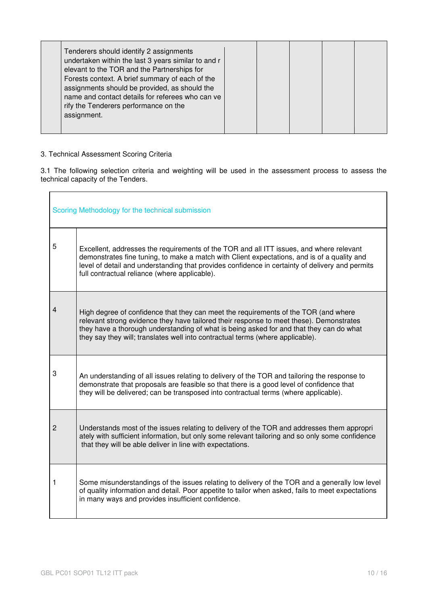#### 3. Technical Assessment Scoring Criteria

3.1 The following selection criteria and weighting will be used in the assessment process to assess the technical capacity of the Tenders.

| Scoring Methodology for the technical submission |                                                                                                                                                                                                                                                                                                                                                             |  |  |  |
|--------------------------------------------------|-------------------------------------------------------------------------------------------------------------------------------------------------------------------------------------------------------------------------------------------------------------------------------------------------------------------------------------------------------------|--|--|--|
| 5                                                | Excellent, addresses the requirements of the TOR and all ITT issues, and where relevant<br>demonstrates fine tuning, to make a match with Client expectations, and is of a quality and<br>level of detail and understanding that provides confidence in certainty of delivery and permits<br>full contractual reliance (where applicable).                  |  |  |  |
|                                                  | High degree of confidence that they can meet the requirements of the TOR (and where<br>relevant strong evidence they have tailored their response to meet these). Demonstrates<br>they have a thorough understanding of what is being asked for and that they can do what<br>they say they will; translates well into contractual terms (where applicable). |  |  |  |
| 3                                                | An understanding of all issues relating to delivery of the TOR and tailoring the response to<br>demonstrate that proposals are feasible so that there is a good level of confidence that<br>they will be delivered; can be transposed into contractual terms (where applicable).                                                                            |  |  |  |
| 2                                                | Understands most of the issues relating to delivery of the TOR and addresses them appropri<br>ately with sufficient information, but only some relevant tailoring and so only some confidence<br>that they will be able deliver in line with expectations.                                                                                                  |  |  |  |
| 1                                                | Some misunderstandings of the issues relating to delivery of the TOR and a generally low level<br>of quality information and detail. Poor appetite to tailor when asked, fails to meet expectations<br>in many ways and provides insufficient confidence.                                                                                                   |  |  |  |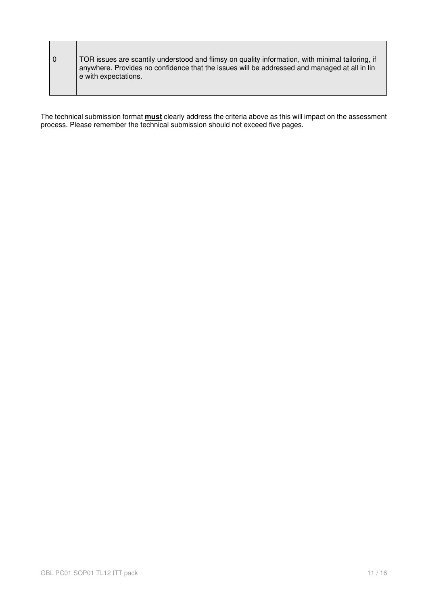| TOR issues are scantily understood and flimsy on quality information, with minimal tailoring, if<br>anywhere. Provides no confidence that the issues will be addressed and managed at all in lin |
|--------------------------------------------------------------------------------------------------------------------------------------------------------------------------------------------------|
| e with expectations.                                                                                                                                                                             |

The technical submission format **must** clearly address the criteria above as this will impact on the assessment process. Please remember the technical submission should not exceed five pages.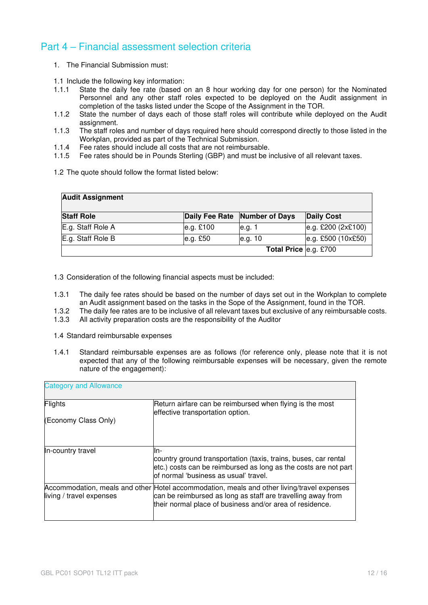### Part 4 – Financial assessment selection criteria

- 1. The Financial Submission must:
- 1.1 Include the following key information:
- 1.1.1 State the daily fee rate (based on an 8 hour working day for one person) for the Nominated Personnel and any other staff roles expected to be deployed on the Audit assignment in completion of the tasks listed under the Scope of the Assignment in the TOR.
- 1.1.2 State the number of days each of those staff roles will contribute while deployed on the Audit assignment.
- 1.1.3 The staff roles and number of days required here should correspond directly to those listed in the Workplan, provided as part of the Technical Submission.
- 1.1.4 Fee rates should include all costs that are not reimbursable.
- 1.1.5 Fee rates should be in Pounds Sterling (GBP) and must be inclusive of all relevant taxes.
- 1.2 The quote should follow the format listed below:

| <b>Audit Assignment</b> |            |                               |                    |
|-------------------------|------------|-------------------------------|--------------------|
| <b>Staff Role</b>       |            | Daily Fee Rate Number of Days | <b>Daily Cost</b>  |
| E.g. Staff Role A       | e.g. £100  | le.g. 1                       | e.g. £200 (2x£100) |
| E.g. Staff Role B       | e.g. $£50$ | e.g. 10                       | e.g. £500 (10x£50) |
|                         |            | <b>Total Price e.g. £700</b>  |                    |

1.3 Consideration of the following financial aspects must be included:

- 1.3.1 The daily fee rates should be based on the number of days set out in the Workplan to complete an Audit assignment based on the tasks in the Sope of the Assignment, found in the TOR.
- 1.3.2 The daily fee rates are to be inclusive of all relevant taxes but exclusive of any reimbursable costs.<br>1.3.3 All activity preparation costs are the responsibility of the Auditor
- All activity preparation costs are the responsibility of the Auditor
- 1.4 Standard reimbursable expenses
- 1.4.1 Standard reimbursable expenses are as follows (for reference only, please note that it is not expected that any of the following reimbursable expenses will be necessary, given the remote nature of the engagement):

| <b>Category and Allowance</b> |                                                                                                                                                                                                                       |  |  |  |
|-------------------------------|-----------------------------------------------------------------------------------------------------------------------------------------------------------------------------------------------------------------------|--|--|--|
| Flights                       | Return airfare can be reimbursed when flying is the most<br>effective transportation option.                                                                                                                          |  |  |  |
| (Economy Class Only)          |                                                                                                                                                                                                                       |  |  |  |
| In-country travel             | ln-<br>country ground transportation (taxis, trains, buses, car rental<br>etc.) costs can be reimbursed as long as the costs are not part<br>lof normal 'business as usual' travel.                                   |  |  |  |
| living / travel expenses      | Accommodation, meals and other Hotel accommodation, meals and other living/travel expenses<br>can be reimbursed as long as staff are travelling away from<br>their normal place of business and/or area of residence. |  |  |  |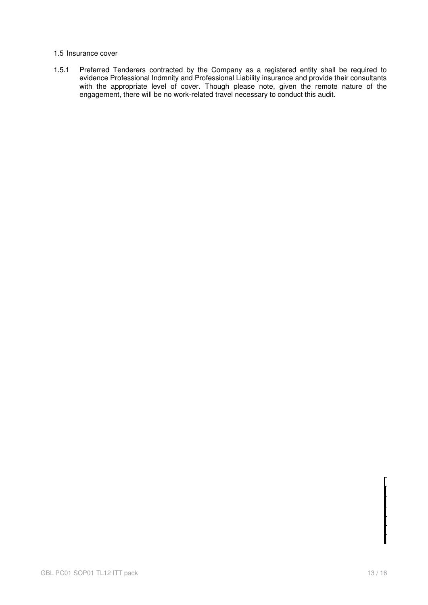#### 1.5 Insurance cover

1.5.1 Preferred Tenderers contracted by the Company as a registered entity shall be required to evidence Professional Indmnity and Professional Liability insurance and provide their consultants with the appropriate level of cover. Though please note, given the remote nature of the engagement, there will be no work-related travel necessary to conduct this audit.

═╈═╈═╈═╈═╋═╉═┪═╝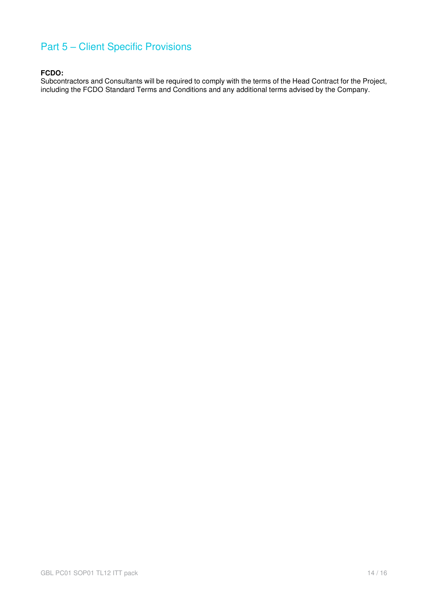# Part 5 – Client Specific Provisions

### **FCDO:**

Subcontractors and Consultants will be required to comply with the terms of the Head Contract for the Project, including the FCDO Standard Terms and Conditions and any additional terms advised by the Company.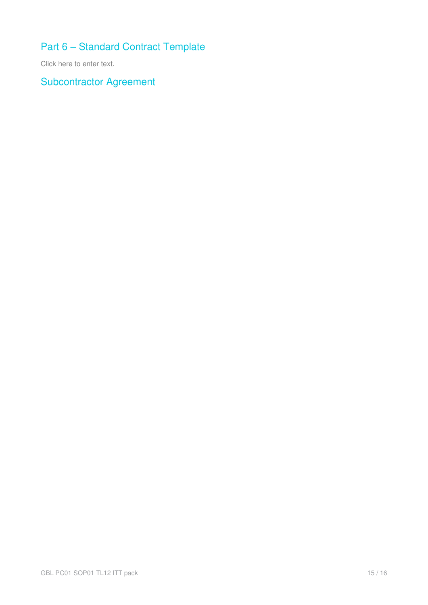# Part 6 – Standard Contract Template

Click here to enter text.

Subcontractor Agreement